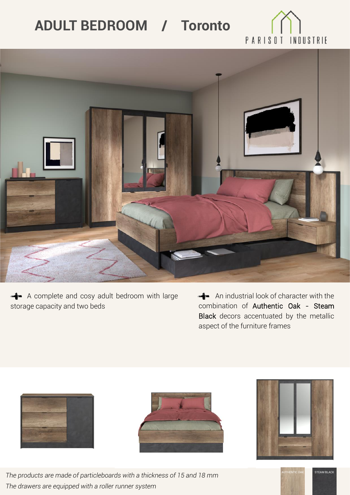## **ADULT BEDROOM / Toronto**



A complete and cosy adult bedroom with large storage capacity and two beds

An industrial look of character with the combination of Authentic Oak - Steam Black decors accentuated by the metallic aspect of the furniture frames







STEAM BLACK



*The products are made of particleboards with a thickness of 15 and 18 mm The drawers are equipped with a roller runner system*